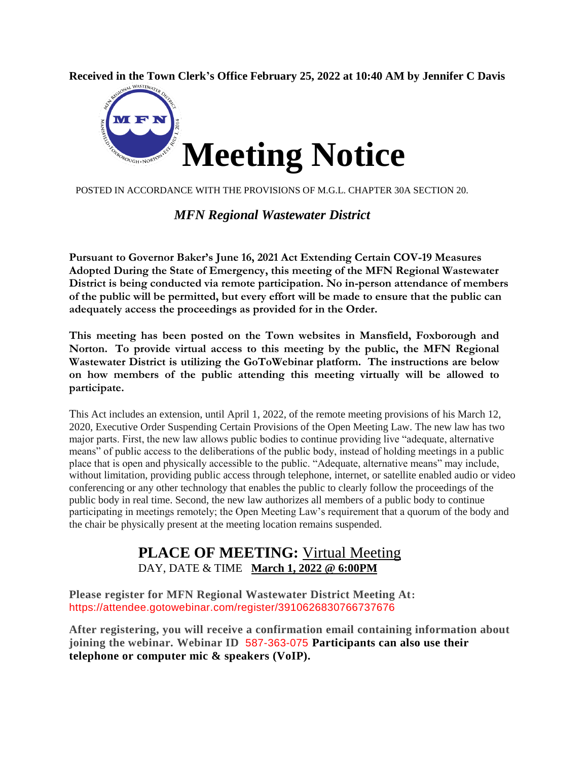**Received in the Town Clerk's Office February 25, 2022 at 10:40 AM by Jennifer C Davis**



POSTED IN ACCORDANCE WITH THE PROVISIONS OF M.G.L. CHAPTER 30A SECTION 20.

#### *MFN Regional Wastewater District*

**Pursuant to Governor Baker's June 16, 2021 Act Extending Certain COV-19 Measures Adopted During the State of Emergency, this meeting of the MFN Regional Wastewater District is being conducted via remote participation. No in-person attendance of members of the public will be permitted, but every effort will be made to ensure that the public can adequately access the proceedings as provided for in the Order.**

**This meeting has been posted on the Town websites in Mansfield, Foxborough and Norton. To provide virtual access to this meeting by the public, the MFN Regional Wastewater District is utilizing the GoToWebinar platform. The instructions are below on how members of the public attending this meeting virtually will be allowed to participate.**

This Act includes an extension, until April 1, 2022, of the remote meeting provisions of his March 12, 2020, Executive Order Suspending Certain Provisions of the Open Meeting Law. The new law has two major parts. First, the new law allows public bodies to continue providing live "adequate, alternative means" of public access to the deliberations of the public body, instead of holding meetings in a public place that is open and physically accessible to the public. "Adequate, alternative means" may include, without limitation, providing public access through telephone, internet, or satellite enabled audio or video conferencing or any other technology that enables the public to clearly follow the proceedings of the public body in real time. Second, the new law authorizes all members of a public body to continue participating in meetings remotely; the Open Meeting Law's requirement that a quorum of the body and the chair be physically present at the meeting location remains suspended.

### **PLACE OF MEETING:** Virtual Meeting DAY, DATE & TIME **March 1, 2022 @ 6:00PM**

**Please register for MFN Regional Wastewater District Meeting At:**  <https://attendee.gotowebinar.com/register/3910626830766737676>

**After registering, you will receive a confirmation email containing information about joining the webinar. Webinar ID** 587-363-075 **Participants can also use their telephone or computer mic & speakers (VoIP).**